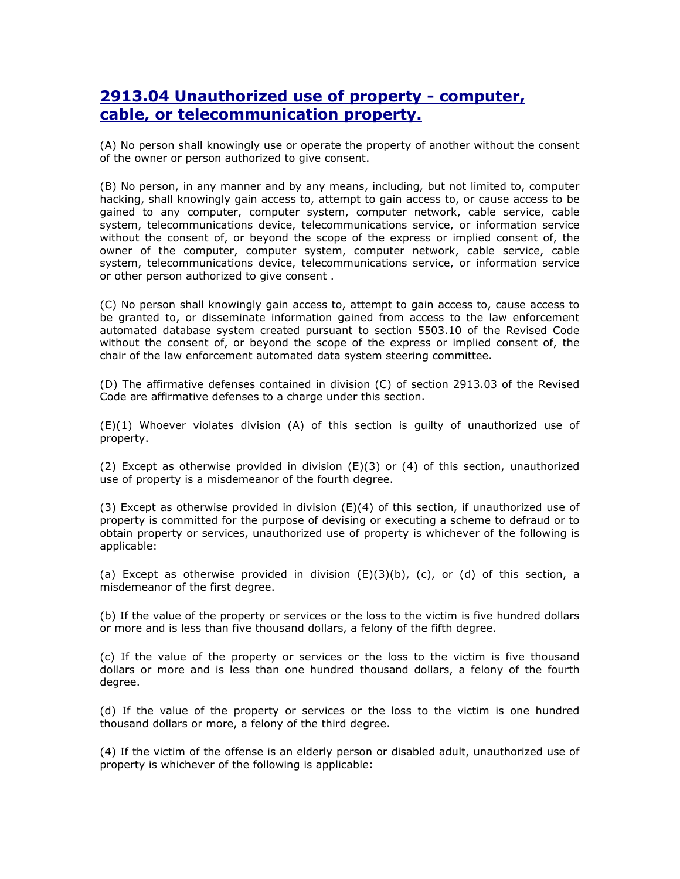## 2913.04 Unauthorized use of property - computer, cable, or telecommunication property.

(A) No person shall knowingly use or operate the property of another without the consent of the owner or person authorized to give consent.

(B) No person, in any manner and by any means, including, but not limited to, computer hacking, shall knowingly gain access to, attempt to gain access to, or cause access to be gained to any computer, computer system, computer network, cable service, cable system, telecommunications device, telecommunications service, or information service without the consent of, or beyond the scope of the express or implied consent of, the owner of the computer, computer system, computer network, cable service, cable system, telecommunications device, telecommunications service, or information service or other person authorized to give consent .

(C) No person shall knowingly gain access to, attempt to gain access to, cause access to be granted to, or disseminate information gained from access to the law enforcement automated database system created pursuant to section 5503.10 of the Revised Code without the consent of, or beyond the scope of the express or implied consent of, the chair of the law enforcement automated data system steering committee.

(D) The affirmative defenses contained in division (C) of section 2913.03 of the Revised Code are affirmative defenses to a charge under this section.

(E)(1) Whoever violates division (A) of this section is guilty of unauthorized use of property.

(2) Except as otherwise provided in division  $(E)(3)$  or  $(4)$  of this section, unauthorized use of property is a misdemeanor of the fourth degree.

(3) Except as otherwise provided in division (E)(4) of this section, if unauthorized use of property is committed for the purpose of devising or executing a scheme to defraud or to obtain property or services, unauthorized use of property is whichever of the following is applicable:

(a) Except as otherwise provided in division  $(E)(3)(b)$ ,  $(c)$ , or  $(d)$  of this section, a misdemeanor of the first degree.

(b) If the value of the property or services or the loss to the victim is five hundred dollars or more and is less than five thousand dollars, a felony of the fifth degree.

(c) If the value of the property or services or the loss to the victim is five thousand dollars or more and is less than one hundred thousand dollars, a felony of the fourth degree.

(d) If the value of the property or services or the loss to the victim is one hundred thousand dollars or more, a felony of the third degree.

(4) If the victim of the offense is an elderly person or disabled adult, unauthorized use of property is whichever of the following is applicable: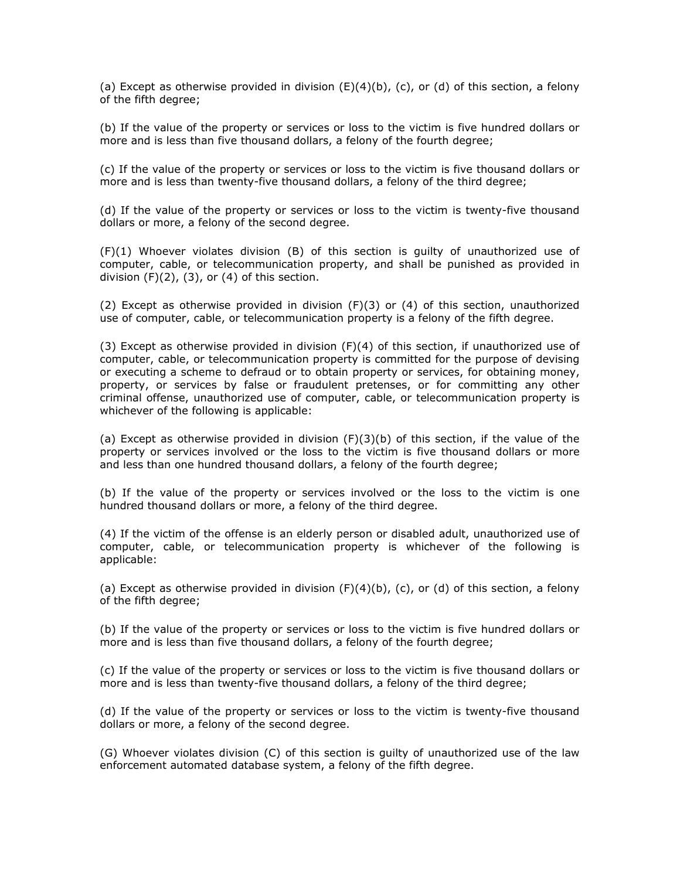(a) Except as otherwise provided in division  $(E)(4)(b)$ , (c), or (d) of this section, a felony of the fifth degree;

(b) If the value of the property or services or loss to the victim is five hundred dollars or more and is less than five thousand dollars, a felony of the fourth degree;

(c) If the value of the property or services or loss to the victim is five thousand dollars or more and is less than twenty-five thousand dollars, a felony of the third degree;

(d) If the value of the property or services or loss to the victim is twenty-five thousand dollars or more, a felony of the second degree.

(F)(1) Whoever violates division (B) of this section is guilty of unauthorized use of computer, cable, or telecommunication property, and shall be punished as provided in division  $(F)(2)$ ,  $(3)$ , or  $(4)$  of this section.

(2) Except as otherwise provided in division (F)(3) or (4) of this section, unauthorized use of computer, cable, or telecommunication property is a felony of the fifth degree.

(3) Except as otherwise provided in division (F)(4) of this section, if unauthorized use of computer, cable, or telecommunication property is committed for the purpose of devising or executing a scheme to defraud or to obtain property or services, for obtaining money, property, or services by false or fraudulent pretenses, or for committing any other criminal offense, unauthorized use of computer, cable, or telecommunication property is whichever of the following is applicable:

(a) Except as otherwise provided in division  $(F)(3)(b)$  of this section, if the value of the property or services involved or the loss to the victim is five thousand dollars or more and less than one hundred thousand dollars, a felony of the fourth degree;

(b) If the value of the property or services involved or the loss to the victim is one hundred thousand dollars or more, a felony of the third degree.

(4) If the victim of the offense is an elderly person or disabled adult, unauthorized use of computer, cable, or telecommunication property is whichever of the following is applicable:

(a) Except as otherwise provided in division  $(F)(4)(b)$ ,  $(c)$ , or  $(d)$  of this section, a felony of the fifth degree;

(b) If the value of the property or services or loss to the victim is five hundred dollars or more and is less than five thousand dollars, a felony of the fourth degree;

(c) If the value of the property or services or loss to the victim is five thousand dollars or more and is less than twenty-five thousand dollars, a felony of the third degree;

(d) If the value of the property or services or loss to the victim is twenty-five thousand dollars or more, a felony of the second degree.

(G) Whoever violates division (C) of this section is guilty of unauthorized use of the law enforcement automated database system, a felony of the fifth degree.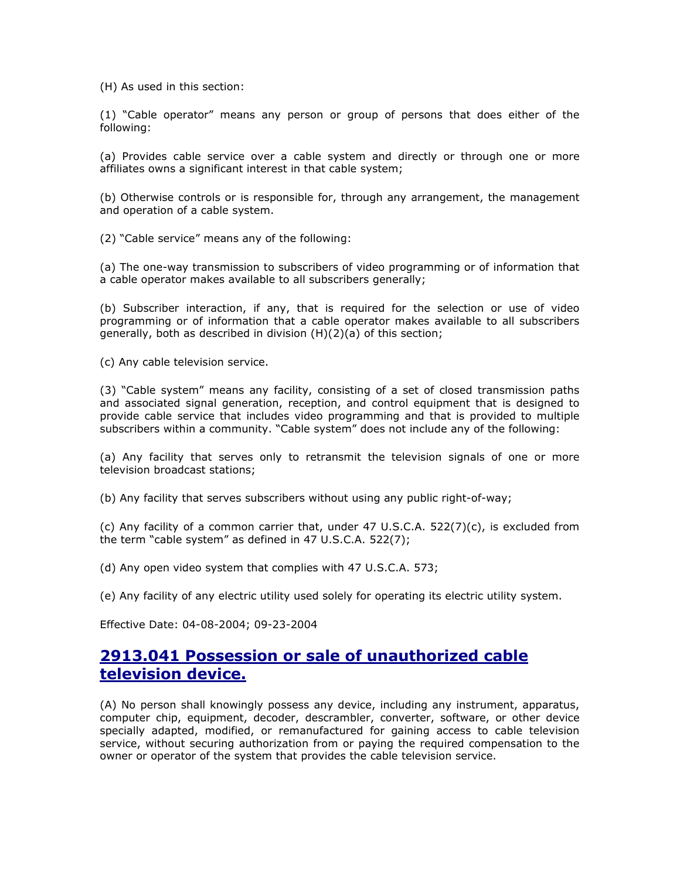(H) As used in this section:

(1) "Cable operator" means any person or group of persons that does either of the following:

(a) Provides cable service over a cable system and directly or through one or more affiliates owns a significant interest in that cable system;

(b) Otherwise controls or is responsible for, through any arrangement, the management and operation of a cable system.

(2) "Cable service" means any of the following:

(a) The one-way transmission to subscribers of video programming or of information that a cable operator makes available to all subscribers generally;

(b) Subscriber interaction, if any, that is required for the selection or use of video programming or of information that a cable operator makes available to all subscribers generally, both as described in division (H)(2)(a) of this section;

(c) Any cable television service.

(3) "Cable system" means any facility, consisting of a set of closed transmission paths and associated signal generation, reception, and control equipment that is designed to provide cable service that includes video programming and that is provided to multiple subscribers within a community. "Cable system" does not include any of the following:

(a) Any facility that serves only to retransmit the television signals of one or more television broadcast stations;

(b) Any facility that serves subscribers without using any public right-of-way;

(c) Any facility of a common carrier that, under 47 U.S.C.A. 522(7)(c), is excluded from the term "cable system" as defined in 47 U.S.C.A. 522(7);

(d) Any open video system that complies with 47 U.S.C.A. 573;

(e) Any facility of any electric utility used solely for operating its electric utility system.

Effective Date: 04-08-2004; 09-23-2004

## 2913.041 Possession or sale of unauthorized cable television device.

(A) No person shall knowingly possess any device, including any instrument, apparatus, computer chip, equipment, decoder, descrambler, converter, software, or other device specially adapted, modified, or remanufactured for gaining access to cable television service, without securing authorization from or paying the required compensation to the owner or operator of the system that provides the cable television service.